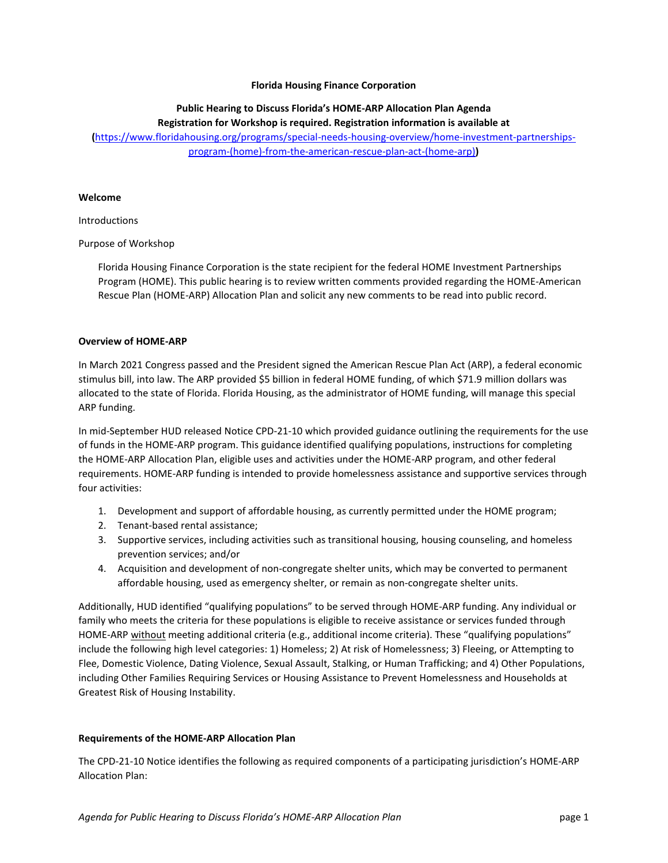## **Florida Housing Finance Corporation**

# **Public Hearing to Discuss Florida's HOME-ARP Allocation Plan Agenda**

**Registration for Workshop is required. Registration information is available at** 

**(**[https://www.floridahousing.org/programs/special-needs-housing-overview/home-investment-partnerships](https://www.floridahousing.org/programs/special-needs-housing-overview/home-investment-partnerships-program-(home)-from-the-american-rescue-plan-act-(home-arp))[program-\(home\)-from-the-american-rescue-plan-act-\(home-arp\)](https://www.floridahousing.org/programs/special-needs-housing-overview/home-investment-partnerships-program-(home)-from-the-american-rescue-plan-act-(home-arp))**)**

#### **Welcome**

### Introductions

## Purpose of Workshop

Florida Housing Finance Corporation is the state recipient for the federal HOME Investment Partnerships Program (HOME). This public hearing is to review written comments provided regarding the HOME-American Rescue Plan (HOME-ARP) Allocation Plan and solicit any new comments to be read into public record.

### **Overview of HOME-ARP**

In March 2021 Congress passed and the President signed the American Rescue Plan Act (ARP), a federal economic stimulus bill, into law. The ARP provided \$5 billion in federal HOME funding, of which \$71.9 million dollars was allocated to the state of Florida. Florida Housing, as the administrator of HOME funding, will manage this special ARP funding.

In mid-September HUD released Notice CPD-21-10 which provided guidance outlining the requirements for the use of funds in the HOME-ARP program. This guidance identified qualifying populations, instructions for completing the HOME-ARP Allocation Plan, eligible uses and activities under the HOME-ARP program, and other federal requirements. HOME-ARP funding is intended to provide homelessness assistance and supportive services through four activities:

- 1. Development and support of affordable housing, as currently permitted under the HOME program;
- 2. Tenant-based rental assistance;
- 3. Supportive services, including activities such as transitional housing, housing counseling, and homeless prevention services; and/or
- 4. Acquisition and development of non-congregate shelter units, which may be converted to permanent affordable housing, used as emergency shelter, or remain as non-congregate shelter units.

Additionally, HUD identified "qualifying populations" to be served through HOME-ARP funding. Any individual or family who meets the criteria for these populations is eligible to receive assistance or services funded through HOME-ARP without meeting additional criteria (e.g., additional income criteria). These "qualifying populations" include the following high level categories: 1) Homeless; 2) At risk of Homelessness; 3) Fleeing, or Attempting to Flee, Domestic Violence, Dating Violence, Sexual Assault, Stalking, or Human Trafficking; and 4) Other Populations, including Other Families Requiring Services or Housing Assistance to Prevent Homelessness and Households at Greatest Risk of Housing Instability.

### **Requirements of the HOME-ARP Allocation Plan**

The CPD-21-10 Notice identifies the following as required components of a participating jurisdiction's HOME-ARP Allocation Plan: